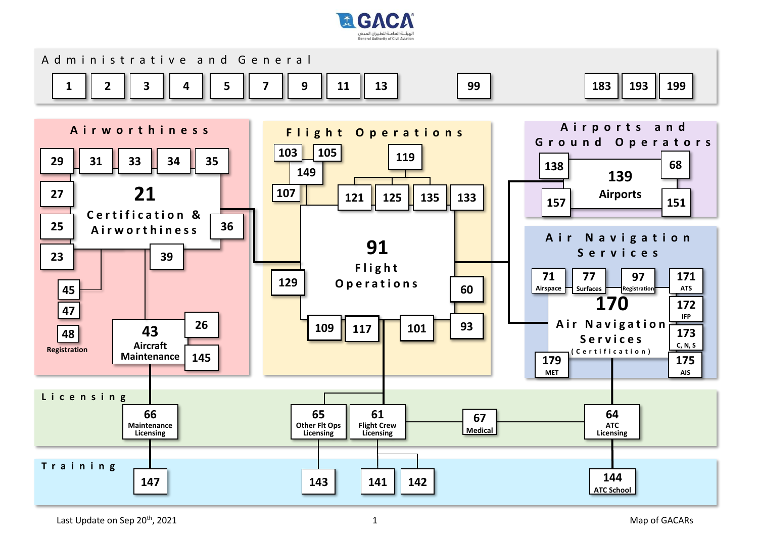